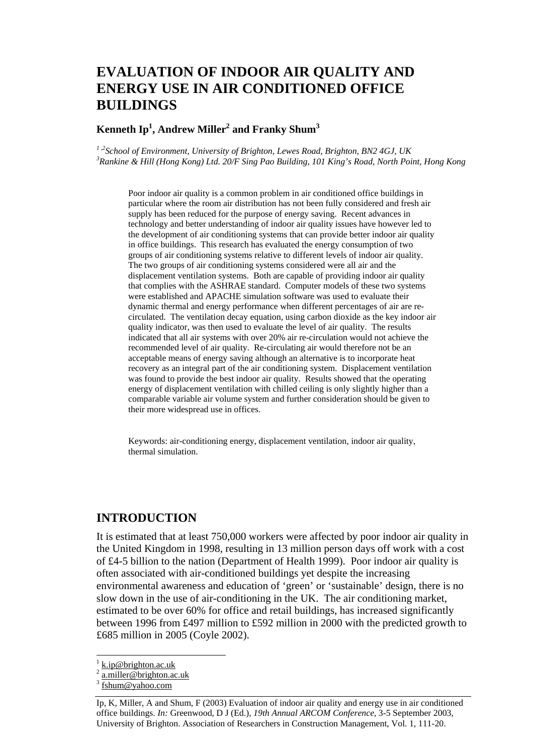# **EVALUATION OF INDOOR AIR QUALITY AND ENERGY USE IN AIR CONDITIONED OFFICE BUILDINGS**

#### $\mathbf{K}$ enneth Ip $^{1}$ , Andrew Miller $^{2}$  and Franky Shum $^{3}$

<sup>1,2</sup> School of Environment, University of Brighton, Lewes Road, Brighton, BN2 4GJ, UK *Rankine & Hill (Hong Kong) Ltd. 20/F Sing Pao Building, 101 King's Road, North Point, Hong Kong* 

Poor indoor air quality is a common problem in air conditioned office buildings in particular where the room air distribution has not been fully considered and fresh air supply has been reduced for the purpose of energy saving. Recent advances in technology and better understanding of indoor air quality issues have however led to the development of air conditioning systems that can provide better indoor air quality in office buildings. This research has evaluated the energy consumption of two groups of air conditioning systems relative to different levels of indoor air quality. The two groups of air conditioning systems considered were all air and the displacement ventilation systems. Both are capable of providing indoor air quality that complies with the ASHRAE standard. Computer models of these two systems were established and APACHE simulation software was used to evaluate their dynamic thermal and energy performance when different percentages of air are recirculated. The ventilation decay equation, using carbon dioxide as the key indoor air quality indicator, was then used to evaluate the level of air quality. The results indicated that all air systems with over 20% air re-circulation would not achieve the recommended level of air quality. Re-circulating air would therefore not be an acceptable means of energy saving although an alternative is to incorporate heat recovery as an integral part of the air conditioning system. Displacement ventilation was found to provide the best indoor air quality. Results showed that the operating energy of displacement ventilation with chilled ceiling is only slightly higher than a comparable variable air volume system and further consideration should be given to their more widespread use in offices.

Keywords: air-conditioning energy, displacement ventilation, indoor air quality, thermal simulation.

#### **INTRODUCTION**

It is estimated that at least 750,000 workers were affected by poor indoor air quality in the United Kingdom in 1998, resulting in 13 million person days off work with a cost of £4-5 billion to the nation (Department of Health 1999). Poor indoor air quality is often associated with air-conditioned buildings yet despite the increasing environmental awareness and education of 'green' or 'sustainable' design, there is no slow down in the use of air-conditioning in the UK. The air conditioning market, estimated to be over 60% for office and retail buildings, has increased significantly between 1996 from £497 million to £592 million in 2000 with the predicted growth to £685 million in 2005 (Coyle 2002).

l

<sup>1</sup> k.ip@brighton.ac.uk

<sup>2</sup> a.miller@brighton.ac.uk

<sup>3</sup> fshum@yahoo.com

Ip, K, Miller, A and Shum, F (2003) Evaluation of indoor air quality and energy use in air conditioned office buildings. *In:* Greenwood, D J (Ed.), *19th Annual ARCOM Conference*, 3-5 September 2003, University of Brighton. Association of Researchers in Construction Management, Vol. 1, 111-20.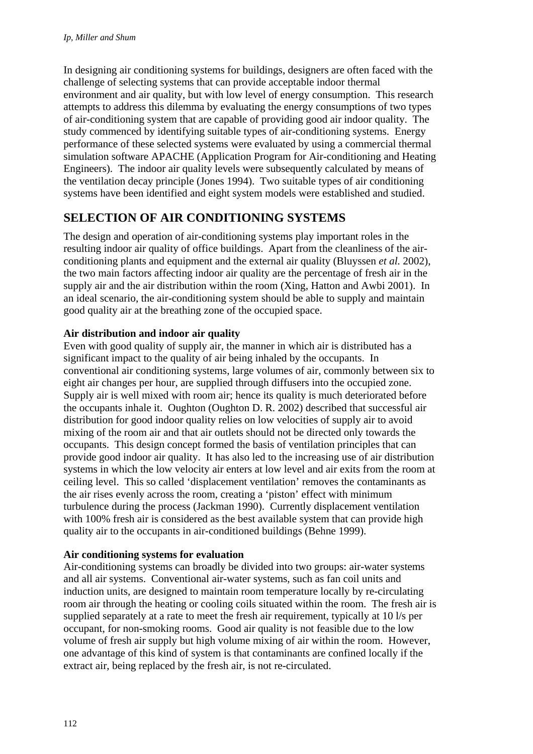In designing air conditioning systems for buildings, designers are often faced with the challenge of selecting systems that can provide acceptable indoor thermal environment and air quality, but with low level of energy consumption. This research attempts to address this dilemma by evaluating the energy consumptions of two types of air-conditioning system that are capable of providing good air indoor quality. The study commenced by identifying suitable types of air-conditioning systems. Energy performance of these selected systems were evaluated by using a commercial thermal simulation software APACHE (Application Program for Air-conditioning and Heating Engineers). The indoor air quality levels were subsequently calculated by means of the ventilation decay principle (Jones 1994). Two suitable types of air conditioning systems have been identified and eight system models were established and studied.

## **SELECTION OF AIR CONDITIONING SYSTEMS**

The design and operation of air-conditioning systems play important roles in the resulting indoor air quality of office buildings. Apart from the cleanliness of the airconditioning plants and equipment and the external air quality (Bluyssen *et al.* 2002), the two main factors affecting indoor air quality are the percentage of fresh air in the supply air and the air distribution within the room (Xing, Hatton and Awbi 2001). In an ideal scenario, the air-conditioning system should be able to supply and maintain good quality air at the breathing zone of the occupied space.

#### **Air distribution and indoor air quality**

Even with good quality of supply air, the manner in which air is distributed has a significant impact to the quality of air being inhaled by the occupants. In conventional air conditioning systems, large volumes of air, commonly between six to eight air changes per hour, are supplied through diffusers into the occupied zone. Supply air is well mixed with room air; hence its quality is much deteriorated before the occupants inhale it. Oughton (Oughton D. R. 2002) described that successful air distribution for good indoor quality relies on low velocities of supply air to avoid mixing of the room air and that air outlets should not be directed only towards the occupants. This design concept formed the basis of ventilation principles that can provide good indoor air quality. It has also led to the increasing use of air distribution systems in which the low velocity air enters at low level and air exits from the room at ceiling level. This so called 'displacement ventilation' removes the contaminants as the air rises evenly across the room, creating a 'piston' effect with minimum turbulence during the process (Jackman 1990). Currently displacement ventilation with 100% fresh air is considered as the best available system that can provide high quality air to the occupants in air-conditioned buildings (Behne 1999).

#### **Air conditioning systems for evaluation**

Air-conditioning systems can broadly be divided into two groups: air-water systems and all air systems. Conventional air-water systems, such as fan coil units and induction units, are designed to maintain room temperature locally by re-circulating room air through the heating or cooling coils situated within the room. The fresh air is supplied separately at a rate to meet the fresh air requirement, typically at 10 l/s per occupant, for non-smoking rooms. Good air quality is not feasible due to the low volume of fresh air supply but high volume mixing of air within the room. However, one advantage of this kind of system is that contaminants are confined locally if the extract air, being replaced by the fresh air, is not re-circulated.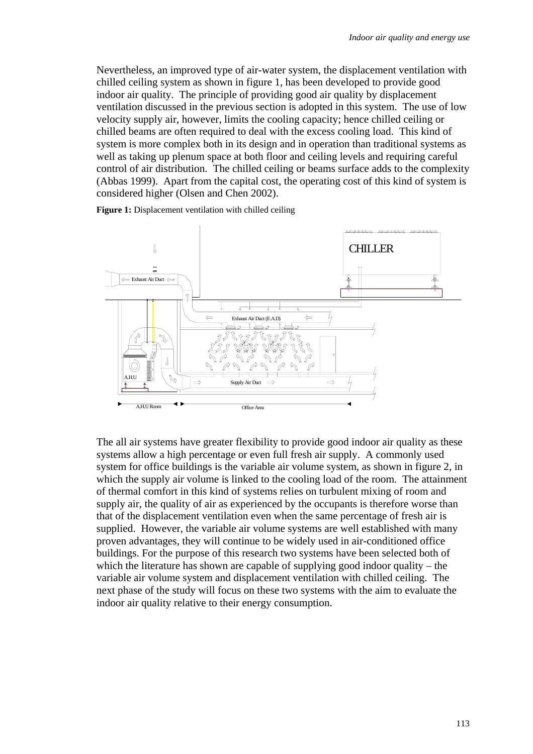Nevertheless, an improved type of air-water system, the displacement ventilation with chilled ceiling system as shown in figure 1, has been developed to provide good indoor air quality. The principle of providing good air quality by displacement ventilation discussed in the previous section is adopted in this system. The use of low velocity supply air, however, limits the cooling capacity; hence chilled ceiling or chilled beams are often required to deal with the excess cooling load. This kind of system is more complex both in its design and in operation than traditional systems as well as taking up plenum space at both floor and ceiling levels and requiring careful control of air distribution. The chilled ceiling or beams surface adds to the complexity (Abbas 1999). Apart from the capital cost, the operating cost of this kind of system is considered higher (Olsen and Chen 2002).

**Figure 1:** Displacement ventilation with chilled ceiling



The all air systems have greater flexibility to provide good indoor air quality as these systems allow a high percentage or even full fresh air supply. A commonly used system for office buildings is the variable air volume system, as shown in figure 2, in which the supply air volume is linked to the cooling load of the room. The attainment of thermal comfort in this kind of systems relies on turbulent mixing of room and supply air, the quality of air as experienced by the occupants is therefore worse than that of the displacement ventilation even when the same percentage of fresh air is supplied. However, the variable air volume systems are well established with many proven advantages, they will continue to be widely used in air-conditioned office buildings. For the purpose of this research two systems have been selected both of which the literature has shown are capable of supplying good indoor quality – the variable air volume system and displacement ventilation with chilled ceiling. The next phase of the study will focus on these two systems with the aim to evaluate the indoor air quality relative to their energy consumption.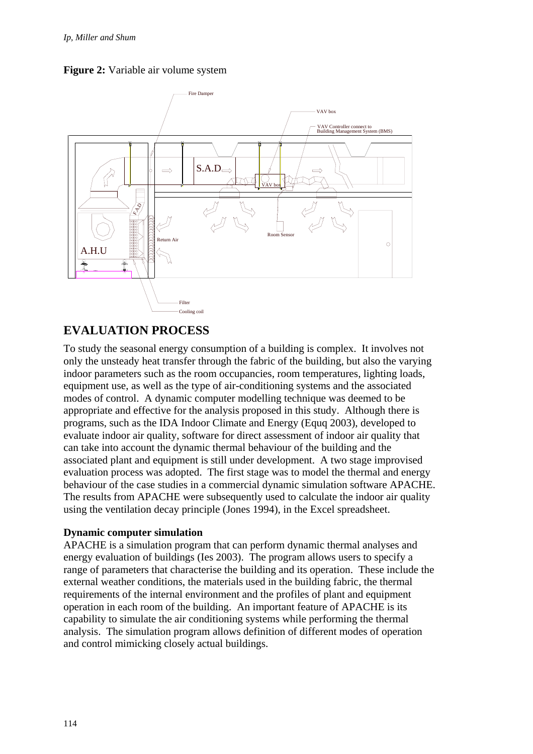



## **EVALUATION PROCESS**

To study the seasonal energy consumption of a building is complex. It involves not only the unsteady heat transfer through the fabric of the building, but also the varying indoor parameters such as the room occupancies, room temperatures, lighting loads, equipment use, as well as the type of air-conditioning systems and the associated modes of control. A dynamic computer modelling technique was deemed to be appropriate and effective for the analysis proposed in this study. Although there is programs, such as the IDA Indoor Climate and Energy (Equq 2003), developed to evaluate indoor air quality, software for direct assessment of indoor air quality that can take into account the dynamic thermal behaviour of the building and the associated plant and equipment is still under development. A two stage improvised evaluation process was adopted. The first stage was to model the thermal and energy behaviour of the case studies in a commercial dynamic simulation software APACHE. The results from APACHE were subsequently used to calculate the indoor air quality using the ventilation decay principle (Jones 1994), in the Excel spreadsheet.

#### **Dynamic computer simulation**

APACHE is a simulation program that can perform dynamic thermal analyses and energy evaluation of buildings (Ies 2003). The program allows users to specify a range of parameters that characterise the building and its operation. These include the external weather conditions, the materials used in the building fabric, the thermal requirements of the internal environment and the profiles of plant and equipment operation in each room of the building. An important feature of APACHE is its capability to simulate the air conditioning systems while performing the thermal analysis. The simulation program allows definition of different modes of operation and control mimicking closely actual buildings.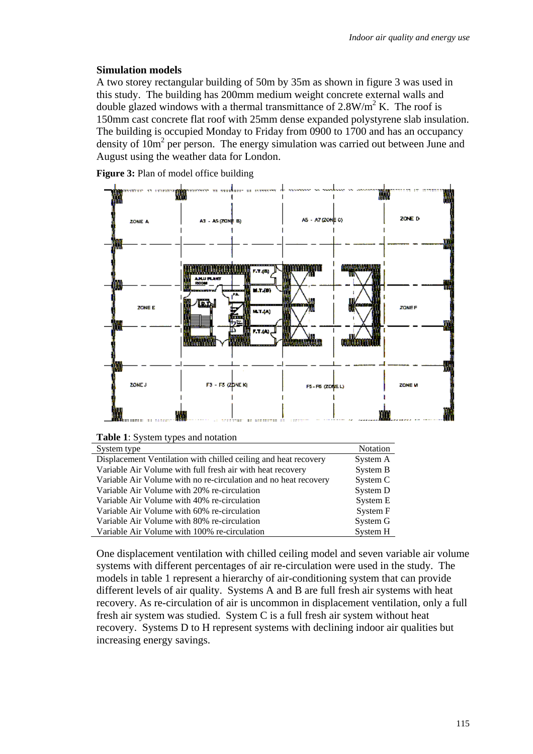#### **Simulation models**

A two storey rectangular building of 50m by 35m as shown in figure 3 was used in this study. The building has 200mm medium weight concrete external walls and double glazed windows with a thermal transmittance of  $2.8 \text{W/m}^2$  K. The roof is 150mm cast concrete flat roof with 25mm dense expanded polystyrene slab insulation. The building is occupied Monday to Friday from 0900 to 1700 and has an occupancy density of  $10m^2$  per person. The energy simulation was carried out between June and August using the weather data for London.

**Figure 3:** Plan of model office building



| System type                                                     | <b>Notation</b> |
|-----------------------------------------------------------------|-----------------|
| Displacement Ventilation with chilled ceiling and heat recovery | System A        |
| Variable Air Volume with full fresh air with heat recovery      | System B        |
| Variable Air Volume with no re-circulation and no heat recovery | System C        |
| Variable Air Volume with 20% re-circulation                     | System D        |
| Variable Air Volume with 40% re-circulation                     | System E        |
| Variable Air Volume with 60% re-circulation                     | System F        |
| Variable Air Volume with 80% re-circulation                     | System G        |
| Variable Air Volume with 100% re-circulation                    | System H        |

One displacement ventilation with chilled ceiling model and seven variable air volume systems with different percentages of air re-circulation were used in the study. The models in table 1 represent a hierarchy of air-conditioning system that can provide different levels of air quality. Systems A and B are full fresh air systems with heat recovery. As re-circulation of air is uncommon in displacement ventilation, only a full fresh air system was studied. System C is a full fresh air system without heat recovery. Systems D to H represent systems with declining indoor air qualities but increasing energy savings.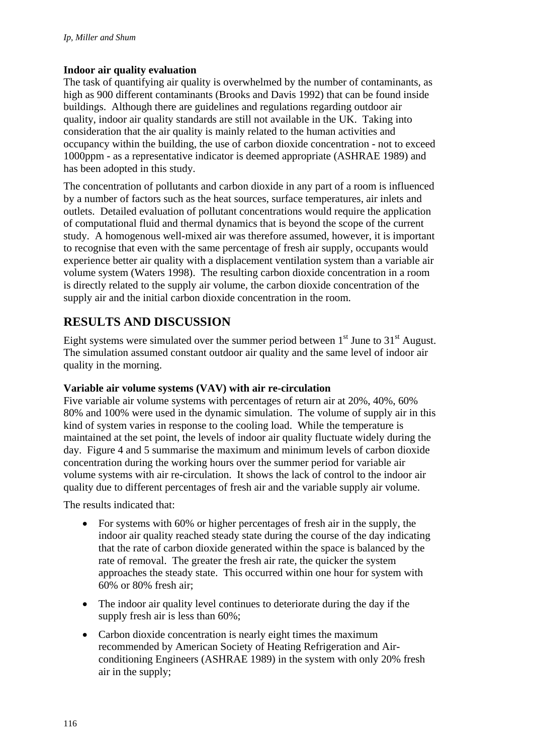#### **Indoor air quality evaluation**

The task of quantifying air quality is overwhelmed by the number of contaminants, as high as 900 different contaminants (Brooks and Davis 1992) that can be found inside buildings. Although there are guidelines and regulations regarding outdoor air quality, indoor air quality standards are still not available in the UK. Taking into consideration that the air quality is mainly related to the human activities and occupancy within the building, the use of carbon dioxide concentration - not to exceed 1000ppm - as a representative indicator is deemed appropriate (ASHRAE 1989) and has been adopted in this study.

The concentration of pollutants and carbon dioxide in any part of a room is influenced by a number of factors such as the heat sources, surface temperatures, air inlets and outlets. Detailed evaluation of pollutant concentrations would require the application of computational fluid and thermal dynamics that is beyond the scope of the current study. A homogenous well-mixed air was therefore assumed, however, it is important to recognise that even with the same percentage of fresh air supply, occupants would experience better air quality with a displacement ventilation system than a variable air volume system (Waters 1998). The resulting carbon dioxide concentration in a room is directly related to the supply air volume, the carbon dioxide concentration of the supply air and the initial carbon dioxide concentration in the room.

## **RESULTS AND DISCUSSION**

Eight systems were simulated over the summer period between  $1<sup>st</sup>$  June to  $31<sup>st</sup>$  August. The simulation assumed constant outdoor air quality and the same level of indoor air quality in the morning.

#### **Variable air volume systems (VAV) with air re-circulation**

Five variable air volume systems with percentages of return air at 20%, 40%, 60% 80% and 100% were used in the dynamic simulation. The volume of supply air in this kind of system varies in response to the cooling load. While the temperature is maintained at the set point, the levels of indoor air quality fluctuate widely during the day. Figure 4 and 5 summarise the maximum and minimum levels of carbon dioxide concentration during the working hours over the summer period for variable air volume systems with air re-circulation. It shows the lack of control to the indoor air quality due to different percentages of fresh air and the variable supply air volume.

The results indicated that:

- For systems with 60% or higher percentages of fresh air in the supply, the indoor air quality reached steady state during the course of the day indicating that the rate of carbon dioxide generated within the space is balanced by the rate of removal. The greater the fresh air rate, the quicker the system approaches the steady state. This occurred within one hour for system with 60% or 80% fresh air;
- The indoor air quality level continues to deteriorate during the day if the supply fresh air is less than 60%;
- Carbon dioxide concentration is nearly eight times the maximum recommended by American Society of Heating Refrigeration and Airconditioning Engineers (ASHRAE 1989) in the system with only 20% fresh air in the supply;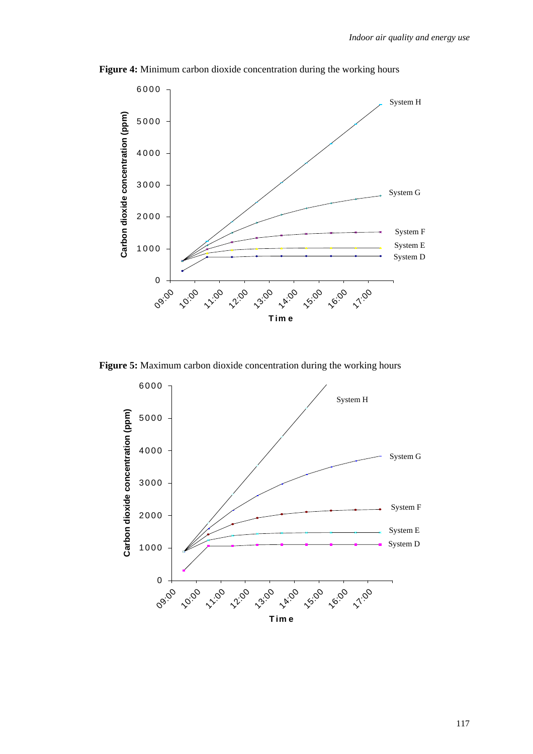

**Figure 4:** Minimum carbon dioxide concentration during the working hours

**Figure 5:** Maximum carbon dioxide concentration during the working hours

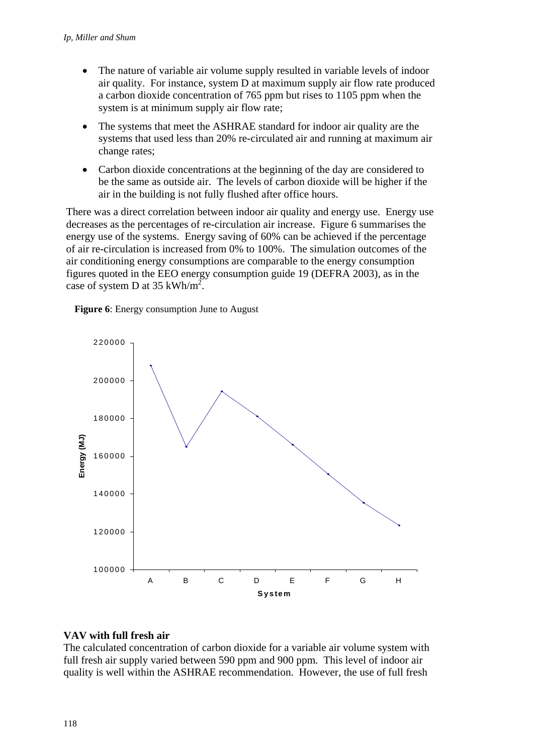- The nature of variable air volume supply resulted in variable levels of indoor air quality. For instance, system D at maximum supply air flow rate produced a carbon dioxide concentration of 765 ppm but rises to 1105 ppm when the system is at minimum supply air flow rate;
- The systems that meet the ASHRAE standard for indoor air quality are the systems that used less than 20% re-circulated air and running at maximum air change rates;
- Carbon dioxide concentrations at the beginning of the day are considered to be the same as outside air. The levels of carbon dioxide will be higher if the air in the building is not fully flushed after office hours.

There was a direct correlation between indoor air quality and energy use. Energy use decreases as the percentages of re-circulation air increase. Figure 6 summarises the energy use of the systems. Energy saving of 60% can be achieved if the percentage of air re-circulation is increased from 0% to 100%. The simulation outcomes of the air conditioning energy consumptions are comparable to the energy consumption figures quoted in the EEO energy consumption guide 19 (DEFRA 2003), as in the case of system D at 35 kWh/m<sup>2</sup>.





### **VAV with full fresh air**

The calculated concentration of carbon dioxide for a variable air volume system with full fresh air supply varied between 590 ppm and 900 ppm. This level of indoor air quality is well within the ASHRAE recommendation. However, the use of full fresh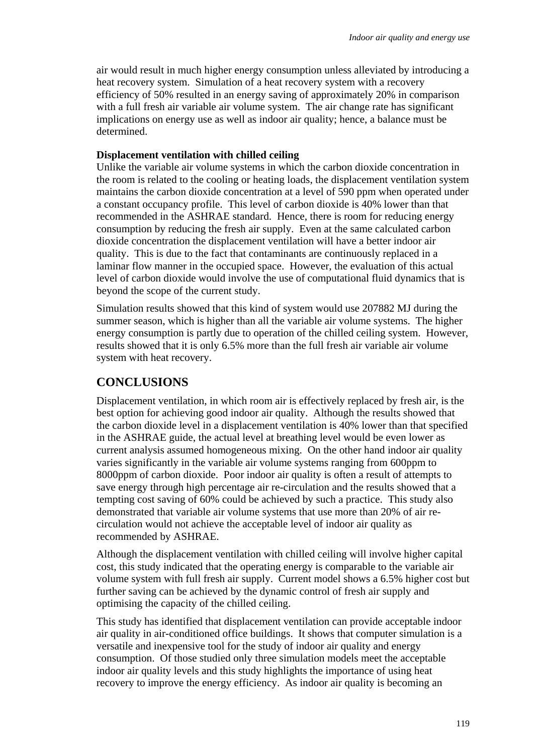air would result in much higher energy consumption unless alleviated by introducing a heat recovery system. Simulation of a heat recovery system with a recovery efficiency of 50% resulted in an energy saving of approximately 20% in comparison with a full fresh air variable air volume system. The air change rate has significant implications on energy use as well as indoor air quality; hence, a balance must be determined.

#### **Displacement ventilation with chilled ceiling**

Unlike the variable air volume systems in which the carbon dioxide concentration in the room is related to the cooling or heating loads, the displacement ventilation system maintains the carbon dioxide concentration at a level of 590 ppm when operated under a constant occupancy profile. This level of carbon dioxide is 40% lower than that recommended in the ASHRAE standard. Hence, there is room for reducing energy consumption by reducing the fresh air supply. Even at the same calculated carbon dioxide concentration the displacement ventilation will have a better indoor air quality. This is due to the fact that contaminants are continuously replaced in a laminar flow manner in the occupied space. However, the evaluation of this actual level of carbon dioxide would involve the use of computational fluid dynamics that is beyond the scope of the current study.

Simulation results showed that this kind of system would use 207882 MJ during the summer season, which is higher than all the variable air volume systems. The higher energy consumption is partly due to operation of the chilled ceiling system. However, results showed that it is only 6.5% more than the full fresh air variable air volume system with heat recovery.

## **CONCLUSIONS**

Displacement ventilation, in which room air is effectively replaced by fresh air, is the best option for achieving good indoor air quality. Although the results showed that the carbon dioxide level in a displacement ventilation is 40% lower than that specified in the ASHRAE guide, the actual level at breathing level would be even lower as current analysis assumed homogeneous mixing. On the other hand indoor air quality varies significantly in the variable air volume systems ranging from 600ppm to 8000ppm of carbon dioxide. Poor indoor air quality is often a result of attempts to save energy through high percentage air re-circulation and the results showed that a tempting cost saving of 60% could be achieved by such a practice. This study also demonstrated that variable air volume systems that use more than 20% of air recirculation would not achieve the acceptable level of indoor air quality as recommended by ASHRAE.

Although the displacement ventilation with chilled ceiling will involve higher capital cost, this study indicated that the operating energy is comparable to the variable air volume system with full fresh air supply. Current model shows a 6.5% higher cost but further saving can be achieved by the dynamic control of fresh air supply and optimising the capacity of the chilled ceiling.

This study has identified that displacement ventilation can provide acceptable indoor air quality in air-conditioned office buildings. It shows that computer simulation is a versatile and inexpensive tool for the study of indoor air quality and energy consumption. Of those studied only three simulation models meet the acceptable indoor air quality levels and this study highlights the importance of using heat recovery to improve the energy efficiency. As indoor air quality is becoming an